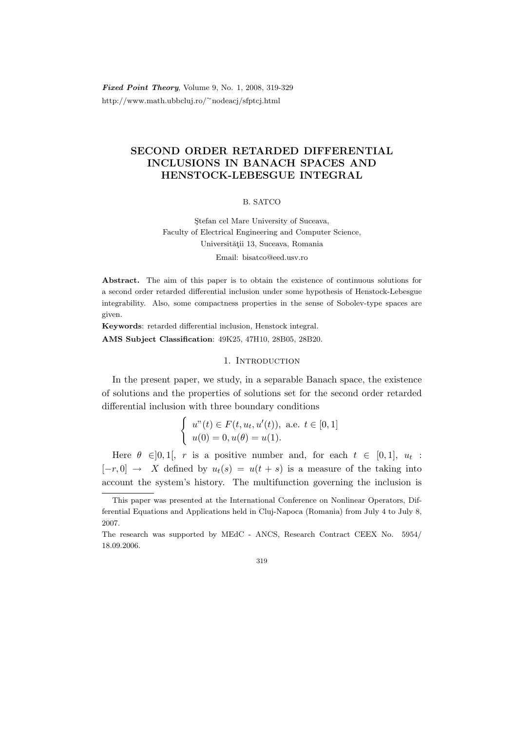Fixed Point Theory, Volume 9, No. 1, 2008, 319-329 http://www.math.ubbcluj.ro/<sup>∼</sup>nodeacj/sfptcj.html

# SECOND ORDER RETARDED DIFFERENTIAL INCLUSIONS IN BANACH SPACES AND HENSTOCK-LEBESGUE INTEGRAL

### B. SATCO

Stefan cel Mare University of Suceava, Faculty of Electrical Engineering and Computer Science, Universității 13, Suceava, Romania

Email: bisatco@eed.usv.ro

Abstract. The aim of this paper is to obtain the existence of continuous solutions for a second order retarded differential inclusion under some hypothesis of Henstock-Lebesgue integrability. Also, some compactness properties in the sense of Sobolev-type spaces are given.

Keywords: retarded differential inclusion, Henstock integral.

AMS Subject Classification: 49K25, 47H10, 28B05, 28B20.

## 1. INTRODUCTION

In the present paper, we study, in a separable Banach space, the existence of solutions and the properties of solutions set for the second order retarded differential inclusion with three boundary conditions

$$
\begin{cases}\n u''(t) \in F(t, u_t, u'(t)), \text{ a.e. } t \in [0, 1] \\
 u(0) = 0, u(\theta) = u(1).\n\end{cases}
$$

Here  $\theta \in ]0,1[$ , r is a positive number and, for each  $t \in [0,1], u_t$ :  $[-r, 0] \rightarrow X$  defined by  $u_t(s) = u(t+s)$  is a measure of the taking into account the system's history. The multifunction governing the inclusion is

This paper was presented at the International Conference on Nonlinear Operators, Differential Equations and Applications held in Cluj-Napoca (Romania) from July 4 to July 8, 2007.

The research was supported by MEdC - ANCS, Research Contract CEEX No. 5954/ 18.09.2006.

<sup>319</sup>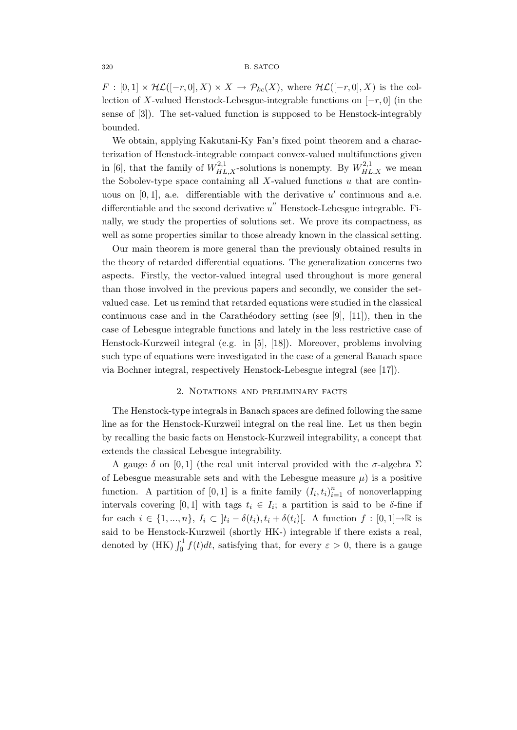$F : [0,1] \times \mathcal{HL}([-r,0],X) \times X \to \mathcal{P}_{kc}(X)$ , where  $\mathcal{HL}([-r,0],X)$  is the collection of X-valued Henstock-Lebesgue-integrable functions on  $[-r, 0]$  (in the sense of [3]). The set-valued function is supposed to be Henstock-integrably bounded.

We obtain, applying Kakutani-Ky Fan's fixed point theorem and a characterization of Henstock-integrable compact convex-valued multifunctions given in [6], that the family of  $W_{HL,X}^{2,1}$ -solutions is nonempty. By  $W_{HL,X}^{2,1}$  we mean the Sobolev-type space containing all  $X$ -valued functions  $u$  that are continuous on  $[0, 1]$ , a.e. differentiable with the derivative u' continuous and a.e. differentiable and the second derivative  $u''$  Henstock-Lebesgue integrable. Finally, we study the properties of solutions set. We prove its compactness, as well as some properties similar to those already known in the classical setting.

Our main theorem is more general than the previously obtained results in the theory of retarded differential equations. The generalization concerns two aspects. Firstly, the vector-valued integral used throughout is more general than those involved in the previous papers and secondly, we consider the setvalued case. Let us remind that retarded equations were studied in the classical continuous case and in the Carathéodory setting (see  $[9]$ ,  $[11]$ ), then in the case of Lebesgue integrable functions and lately in the less restrictive case of Henstock-Kurzweil integral (e.g. in [5], [18]). Moreover, problems involving such type of equations were investigated in the case of a general Banach space via Bochner integral, respectively Henstock-Lebesgue integral (see [17]).

## 2. Notations and preliminary facts

The Henstock-type integrals in Banach spaces are defined following the same line as for the Henstock-Kurzweil integral on the real line. Let us then begin by recalling the basic facts on Henstock-Kurzweil integrability, a concept that extends the classical Lebesgue integrability.

A gauge  $\delta$  on [0, 1] (the real unit interval provided with the  $\sigma$ -algebra  $\Sigma$ of Lebesgue measurable sets and with the Lebesgue measure  $\mu$ ) is a positive function. A partition of [0, 1] is a finite family  $(I_i, t_i)_{i=1}^n$  of nonoverlapping intervals covering [0, 1] with tags  $t_i \in I_i$ ; a partition is said to be  $\delta$ -fine if for each  $i \in \{1, ..., n\}, I_i \subset [t_i - \delta(t_i), t_i + \delta(t_i)]$ . A function  $f : [0, 1] \rightarrow \mathbb{R}$  is said to be Henstock-Kurzweil (shortly HK-) integrable if there exists a real, denoted by (HK)  $\int_0^1 f(t)dt$ , satisfying that, for every  $\varepsilon > 0$ , there is a gauge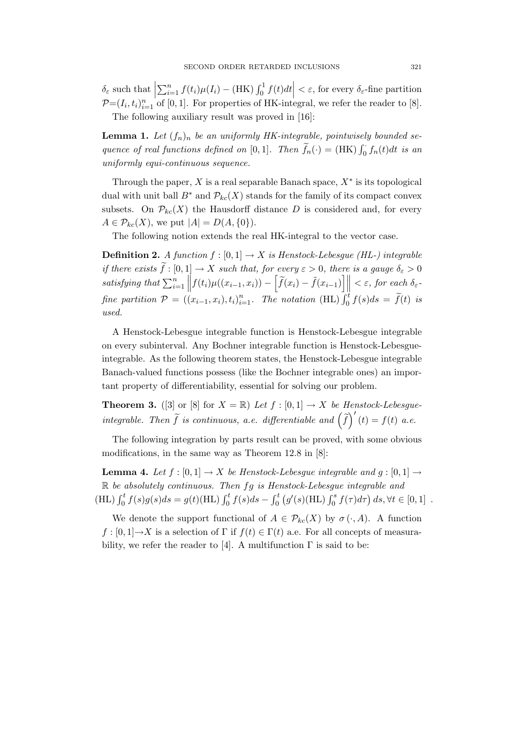$\delta_{\varepsilon}$  such that  $\left| \frac{\delta_{\varepsilon}}{\delta_{\varepsilon}^2} \right|$  $\sum_{i=1}^{n} f(t_i) \mu(I_i) - (HK) \int_0^1 f(t) dt \leq \varepsilon$ , for every  $\delta_{\varepsilon}$ -fine partition  $\mathcal{P}=(I_i,t_i)_{i=1}^n$  of [0, 1]. For properties of HK-integral, we refer the reader to [8]. The following auxiliary result was proved in [16]:

**Lemma 1.** Let  $(f_n)_n$  be an uniformly HK-integrable, pointwisely bounded sequence of real functions defined on [0, 1]. Then  $\tilde{f}_n(\cdot) = (HK) \int_0^{\cdot} f_n(t) dt$  is an uniformly equi-continuous sequence.

Through the paper,  $X$  is a real separable Banach space,  $X^*$  is its topological dual with unit ball  $B^*$  and  $\mathcal{P}_{kc}(X)$  stands for the family of its compact convex subsets. On  $\mathcal{P}_{kc}(X)$  the Hausdorff distance D is considered and, for every  $A \in \mathcal{P}_{kc}(X)$ , we put  $|A| = D(A, \{0\}).$ 

The following notion extends the real HK-integral to the vector case.

**Definition 2.** A function  $f : [0, 1] \rightarrow X$  is Henstock-Lebesgue (HL-) integrable if there exists  $\tilde{f}: [0,1] \to X$  such that, for every  $\varepsilon > 0$ , there is a gauge  $\delta_{\varepsilon} > 0$  $satisfying that \sum_{i=1}^{n} \left\| f(t_i) \mu((x_{i-1}, x_i)) - \left[ \widetilde{f}(x_i) - \widetilde{f}(x_{i-1}) \right] \right\| < \varepsilon, for each \ \delta_{\varepsilon}$ fine partition  $\mathcal{P} = ((x_{i-1}, x_i), t_i)_{i=1}^n$ . The notation (HL)  $\int_0^t f(s)ds = \tilde{f}(t)$  is used.

A Henstock-Lebesgue integrable function is Henstock-Lebesgue integrable on every subinterval. Any Bochner integrable function is Henstock-Lebesgueintegrable. As the following theorem states, the Henstock-Lebesgue integrable Banach-valued functions possess (like the Bochner integrable ones) an important property of differentiability, essential for solving our problem.

**Theorem 3.** ([3] or [8] for  $X = \mathbb{R}$ ) Let  $f : [0, 1] \rightarrow X$  be Henstock-Lebesqueintegrable. Then  $\tilde{f}$  is continuous, a.e. differentiable and  $(\tilde{f})'(t) = f(t)$  a.e.

The following integration by parts result can be proved, with some obvious modifications, in the same way as Theorem 12.8 in [8]:

**Lemma 4.** Let  $f : [0, 1] \to X$  be Henstock-Lebesque integrable and  $g : [0, 1] \to X$ R be absolutely continuous. Then fg is Henstock-Lebesgue integrable and (HL)  $\int_0^t f(s)g(s)ds = g(t)$ (HL)  $\int_0^t f(s)ds - \int_0^t (g'(s)$ (HL)  $\int_0^s f(\tau)d\tau$ )  $ds, \forall t \in [0, 1]$ .

We denote the support functional of  $A \in \mathcal{P}_{kc}(X)$  by  $\sigma(\cdot, A)$ . A function  $f : [0,1] \to X$  is a selection of  $\Gamma$  if  $f(t) \in \Gamma(t)$  a.e. For all concepts of measurability, we refer the reader to [4]. A multifunction  $\Gamma$  is said to be: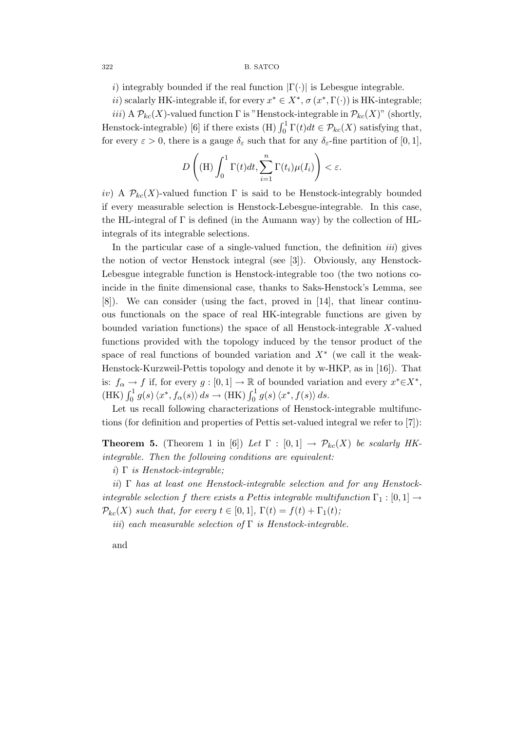i) integrably bounded if the real function  $|\Gamma(\cdot)|$  is Lebesgue integrable.

ii) scalarly HK-integrable if, for every  $x^* \in X^*$ ,  $\sigma(x^*, \Gamma(\cdot))$  is HK-integrable;

iii) A  $\mathcal{P}_{kc}(X)$ -valued function  $\Gamma$  is "Henstock-integrable in  $\mathcal{P}_{kc}(X)$ " (shortly, Henstock-integrable) [6] if there exists (H)  $\int_0^1 \Gamma(t) dt \in \mathcal{P}_{kc}(X)$  satisfying that, for every  $\varepsilon > 0$ , there is a gauge  $\delta_{\varepsilon}$  such that for any  $\delta_{\varepsilon}$ -fine partition of [0, 1],

$$
D\left((\mathrm{H})\int_0^1 \Gamma(t)dt, \sum_{i=1}^n \Gamma(t_i)\mu(I_i)\right) < \varepsilon.
$$

iv) A  $\mathcal{P}_{kc}(X)$ -valued function  $\Gamma$  is said to be Henstock-integrably bounded if every measurable selection is Henstock-Lebesgue-integrable. In this case, the HL-integral of  $\Gamma$  is defined (in the Aumann way) by the collection of HLintegrals of its integrable selections.

In the particular case of a single-valued function, the definition  $iiii$ ) gives the notion of vector Henstock integral (see [3]). Obviously, any Henstock-Lebesgue integrable function is Henstock-integrable too (the two notions coincide in the finite dimensional case, thanks to Saks-Henstock's Lemma, see [8]). We can consider (using the fact, proved in [14], that linear continuous functionals on the space of real HK-integrable functions are given by bounded variation functions) the space of all Henstock-integrable X-valued functions provided with the topology induced by the tensor product of the space of real functions of bounded variation and  $X^*$  (we call it the weak-Henstock-Kurzweil-Pettis topology and denote it by w-HKP, as in [16]). That is:  $f_{\alpha} \to f$  if, for every  $g : [0,1] \to \mathbb{R}$  of bounded variation and every  $x^* \in X^*$ , (HK)  $\int_0^1 g(s) \langle x^*, f_\alpha(s) \rangle ds \to (HK) \int_0^1 g(s) \langle x^*, f(s) \rangle ds.$ 

Let us recall following characterizations of Henstock-integrable multifunctions (for definition and properties of Pettis set-valued integral we refer to [7]):

**Theorem 5.** (Theorem 1 in [6]) Let  $\Gamma : [0,1] \rightarrow \mathcal{P}_{kc}(X)$  be scalarly HKintegrable. Then the following conditions are equivalent:

i)  $\Gamma$  is Henstock-integrable;

ii)  $\Gamma$  has at least one Henstock-integrable selection and for any Henstockintegrable selection f there exists a Pettis integrable multifunction  $\Gamma_1 : [0,1] \rightarrow$  $\mathcal{P}_{kc}(X)$  such that, for every  $t \in [0,1]$ ,  $\Gamma(t) = f(t) + \Gamma_1(t)$ ;

iii) each measurable selection of  $\Gamma$  is Henstock-integrable.

and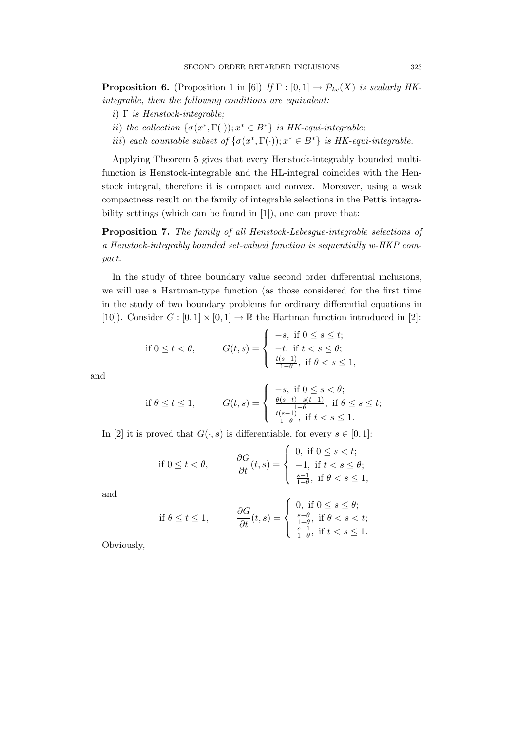**Proposition 6.** (Proposition 1 in [6]) If  $\Gamma : [0,1] \to \mathcal{P}_{kc}(X)$  is scalarly HKintegrable, then the following conditions are equivalent:

- i)  $\Gamma$  is Henstock-integrable;
- ii) the collection  $\{\sigma(x^*, \Gamma(\cdot)); x^* \in B^*\}$  is HK-equi-integrable;
- iii) each countable subset of  $\{\sigma(x^*, \Gamma(\cdot)); x^* \in B^*\}$  is HK-equi-integrable.

Applying Theorem 5 gives that every Henstock-integrably bounded multifunction is Henstock-integrable and the HL-integral coincides with the Henstock integral, therefore it is compact and convex. Moreover, using a weak compactness result on the family of integrable selections in the Pettis integrability settings (which can be found in [1]), one can prove that:

Proposition 7. The family of all Henstock-Lebesgue-integrable selections of a Henstock-integrably bounded set-valued function is sequentially w-HKP compact.

In the study of three boundary value second order differential inclusions, we will use a Hartman-type function (as those considered for the first time in the study of two boundary problems for ordinary differential equations in [10]). Consider  $G : [0, 1] \times [0, 1] \rightarrow \mathbb{R}$  the Hartman function introduced in [2]:

if 
$$
0 \le t < \theta
$$
,  $G(t, s) = \begin{cases} -s, & \text{if } 0 \le s \le t; \\ -t, & \text{if } t < s \le \theta; \\ \frac{t(s-1)}{1-\theta}, & \text{if } \theta < s \le 1, \end{cases}$ 

and

$$
\text{if } \theta \le t \le 1, \qquad G(t,s) = \begin{cases} -s, & \text{if } 0 \le s < \theta; \\ \frac{\theta(s-t) + s(t-1)}{1-\theta}, & \text{if } \theta \le s \le t; \\ \frac{t(s-1)}{1-\theta}, & \text{if } t < s \le 1. \end{cases}
$$

In [2] it is proved that  $G(\cdot, s)$  is differentiable, for every  $s \in [0, 1]$ :

$$
\text{if } 0 \le t < \theta, \qquad \frac{\partial G}{\partial t}(t, s) = \begin{cases} 0, & \text{if } 0 \le s < t; \\ -1, & \text{if } t < s \le \theta; \\ \frac{s-1}{1-\theta}, & \text{if } \theta < s \le 1, \end{cases}
$$

and

$$
\text{if } \theta \le t \le 1, \qquad \frac{\partial G}{\partial t}(t,s) = \begin{cases} 0, \text{ if } 0 \le s \le \theta; \\ \frac{s-\theta}{1-\theta}, \text{ if } \theta < s < t; \\ \frac{s-1}{1-\theta}, \text{ if } t < s \le 1. \end{cases}
$$

Obviously,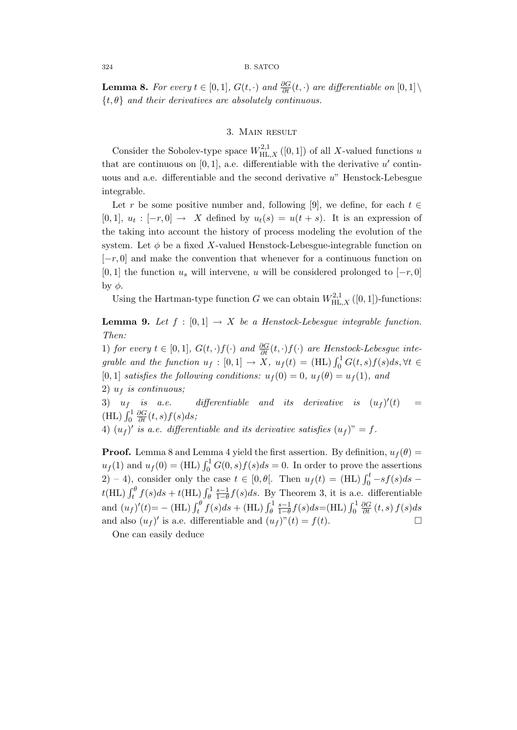**Lemma 8.** For every  $t \in [0,1]$ ,  $G(t, \cdot)$  and  $\frac{\partial G}{\partial t}(t, \cdot)$  are differentiable on  $[0,1] \setminus$  $\{t, \theta\}$  and their derivatives are absolutely continuous.

# 3. Main result

Consider the Sobolev-type space  $W_{\rm HL,X}^{2,1}([0,1])$  of all X-valued functions u that are continuous on  $[0, 1]$ , a.e. differentiable with the derivative  $u'$  continuous and a.e. differentiable and the second derivative  $u$ " Henstock-Lebesgue integrable.

Let r be some positive number and, following [9], we define, for each  $t \in$ [0, 1],  $u_t: [-r, 0] \to X$  defined by  $u_t(s) = u(t + s)$ . It is an expression of the taking into account the history of process modeling the evolution of the system. Let  $\phi$  be a fixed X-valued Henstock-Lebesgue-integrable function on  $[-r, 0]$  and make the convention that whenever for a continuous function on [0, 1] the function  $u_s$  will intervene, u will be considered prolonged to [−r, 0]  $by φ.$ 

Using the Hartman-type function G we can obtain  $W_{\text{HL},X}^{2,1}([0,1])$ -functions:

**Lemma 9.** Let  $f : [0,1] \rightarrow X$  be a Henstock-Lebesgue integrable function. Then:

1) for every  $t \in [0,1], G(t,\cdot)f(\cdot)$  and  $\frac{\partial G}{\partial t}(t,\cdot)f(\cdot)$  are Henstock-Lebesgue integrable and the function  $u_f : [0,1] \to X$ ,  $u_f(t) = (HL) \int_0^1 G(t,s) f(s) ds, \forall t \in$ [0, 1] satisfies the following conditions:  $u_f(0) = 0$ ,  $u_f(\theta) = u_f(1)$ , and

2)  $u_f$  is continuous;

3)  $u_f$  is a.e. differentiable and its derivative is  $(u_f)'(t) =$  $(HL)\int_0^1$  $\frac{\partial G}{\partial t}(t,s)f(s)ds;$ 

4)  $(u_f)'$  is a.e. differentiable and its derivative satisfies  $(u_f)'' = f$ .

**Proof.** Lemma 8 and Lemma 4 yield the first assertion. By definition,  $u_f(\theta)$  =  $u_f(1)$  and  $u_f(0) = (HL) \int_0^1 G(0, s) f(s) ds = 0$ . In order to prove the assertions 2) – 4), consider only the case  $t \in [0, \theta]$ . Then  $u_f(t) = (HL) \int_0^t -sf(s)ds$  $t(HL) \int_t^\theta f(s)ds + t(HL) \int_\theta^1$ s−1  $\frac{s-1}{1-\theta}f(s)ds$ . By Theorem 3, it is a.e. differentiable and  $(u_f)'(t) = - (HL) \int_t^{\theta} f(s) ds + (HL) \int_{\theta}^1$ s−1  $\frac{s-1}{1-\theta}f(s)ds = (HL)\int_0^1$  $\frac{\partial G}{\partial t}(t,s)\,f(s)ds$ and also  $(u_f)'$  is a.e. differentiable and  $(u_f)''(t) = f(t)$ .

One can easily deduce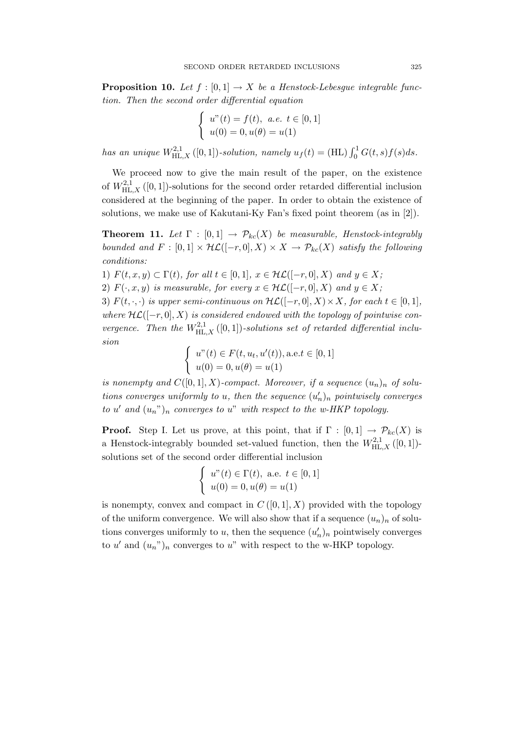**Proposition 10.** Let  $f : [0,1] \rightarrow X$  be a Henstock-Lebesgue integrable function. Then the second order differential equation

$$
\begin{cases}\n u''(t) = f(t), \ a.e. \ t \in [0, 1] \\
 u(0) = 0, u(\theta) = u(1)\n\end{cases}
$$

has an unique  $W^{2,1}_{\text{HL},X}([0,1])$ -solution, namely  $u_f(t) = (\text{HL}) \int_0^1 G(t,s)f(s)ds$ .

We proceed now to give the main result of the paper, on the existence of  $W_{\rm HL,X}^{2,1}([0,1])$ -solutions for the second order retarded differential inclusion considered at the beginning of the paper. In order to obtain the existence of solutions, we make use of Kakutani-Ky Fan's fixed point theorem (as in [2]).

**Theorem 11.** Let  $\Gamma : [0,1] \rightarrow \mathcal{P}_{kc}(X)$  be measurable, Henstock-integrably bounded and  $F : [0,1] \times \mathcal{HL}([-r,0],X) \times X \to \mathcal{P}_{kc}(X)$  satisfy the following conditions:

1)  $F(t, x, y) \subset \Gamma(t)$ , for all  $t \in [0, 1]$ ,  $x \in H\mathcal{L}([-r, 0], X)$  and  $y \in X$ ;

2)  $F(\cdot, x, y)$  is measurable, for every  $x \in \mathcal{HL}([-r, 0], X)$  and  $y \in X$ ;

3)  $F(t, \cdot, \cdot)$  is upper semi-continuous on  $H\mathcal{L}([-r, 0], X) \times X$ , for each  $t \in [0, 1]$ , where  $H{\mathcal{L}}([-r, 0], X)$  is considered endowed with the topology of pointwise convergence. Then the  $W_{\text{HL},X}^{2,1}([0,1])$ -solutions set of retarded differential inclusion

$$
\begin{cases}\nu''(t) \in F(t, u_t, u'(t)), \text{ a.e. } t \in [0, 1] \\
u(0) = 0, u(\theta) = u(1)\n\end{cases}
$$

is nonempty and  $C([0, 1], X)$ -compact. Moreover, if a sequence  $(u_n)_n$  of solutions converges uniformly to u, then the sequence  $(u'_n)_n$  pointwisely converges to u' and  $(u_n)$ <sup>n</sup> converges to u" with respect to the w-HKP topology.

**Proof.** Step I. Let us prove, at this point, that if  $\Gamma : [0,1] \rightarrow \mathcal{P}_{kc}(X)$  is a Henstock-integrably bounded set-valued function, then the  $W_{\rm HL,X}^{2,1}([0,1])$ solutions set of the second order differential inclusion

$$
\begin{cases}\n u''(t) \in \Gamma(t), \text{ a.e. } t \in [0, 1] \\
 u(0) = 0, u(\theta) = u(1)\n\end{cases}
$$

is nonempty, convex and compact in  $C([0,1],X)$  provided with the topology of the uniform convergence. We will also show that if a sequence  $(u_n)_n$  of solutions converges uniformly to u, then the sequence  $(u'_n)_n$  pointwisely converges to u' and  $(u_n^{\prime\prime})_n$  converges to u'' with respect to the w-HKP topology.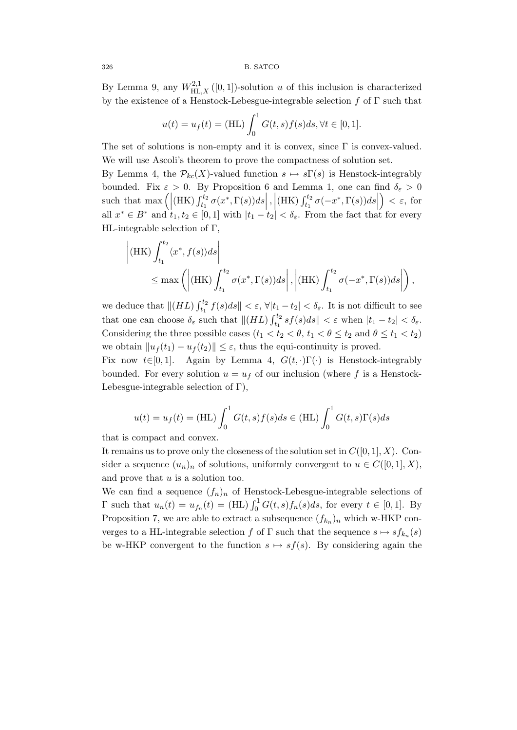By Lemma 9, any  $W_{\text{HL},X}^{2,1}([0,1])$ -solution u of this inclusion is characterized by the existence of a Henstock-Lebesgue-integrable selection  $f$  of  $\Gamma$  such that

$$
u(t) = u_f(t) = (HL) \int_0^1 G(t, s) f(s) ds, \forall t \in [0, 1].
$$

The set of solutions is non-empty and it is convex, since Γ is convex-valued. We will use Ascoli's theorem to prove the compactness of solution set.

By Lemma 4, the  $\mathcal{P}_{kc}(X)$ -valued function  $s \mapsto s\Gamma(s)$  is Henstock-integrably bounded. Fix  $\varepsilon > 0$ . By Proposition 6 and Lemma 1, one can find  $\delta_{\varepsilon} > 0$ such that  $\max\left(\left|\left(HK\right)\int_{t_1}^{t_2} \sigma(x^*, \Gamma(s))ds\right|, \left|\left(HK\right)\int_{t_1}^{t_2} \sigma(-x^*, \Gamma(s))ds\right|\right) < \varepsilon$ , for all  $x^* \in B^*$  and  $t_1, t_2 \in [0, 1]$  with  $|t_1 - t_2| < \delta_{\varepsilon}$ . From the fact that for every HL-integrable selection of Γ,

$$
\left| (HK) \int_{t_1}^{t_2} \langle x^*, f(s) \rangle ds \right|
$$
  
\n
$$
\leq \max \left( \left| (HK) \int_{t_1}^{t_2} \sigma(x^*, \Gamma(s)) ds \right|, \left| (HK) \int_{t_1}^{t_2} \sigma(-x^*, \Gamma(s)) ds \right| \right),
$$

we deduce that  $||(HL)\int_{t_1}^{t_2} f(s)ds|| < \varepsilon$ ,  $\forall |t_1 - t_2| < \delta_{\varepsilon}$ . It is not difficult to see that one can choose  $\delta_{\varepsilon}$  such that  $||(HL)\int_{t_1}^{t_2} sf(s)ds|| < \varepsilon$  when  $|t_1 - t_2| < \delta_{\varepsilon}$ . Considering the three possible cases  $(t_1 < t_2 < \theta, t_1 < \theta \le t_2$  and  $\theta \le t_1 < t_2$ ) we obtain  $||u_f(t_1) - u_f(t_2)|| \leq \varepsilon$ , thus the equi-continuity is proved.

Fix now  $t \in [0, 1]$ . Again by Lemma 4,  $G(t, \cdot) \Gamma(\cdot)$  is Henstock-integrably bounded. For every solution  $u = u_f$  of our inclusion (where f is a Henstock-Lebesgue-integrable selection of  $\Gamma$ ),

$$
u(t) = u_f(t) = (HL) \int_0^1 G(t,s)f(s)ds \in (HL) \int_0^1 G(t,s)\Gamma(s)ds
$$

that is compact and convex.

It remains us to prove only the closeness of the solution set in  $C([0, 1], X)$ . Consider a sequence  $(u_n)_n$  of solutions, uniformly convergent to  $u \in C([0,1], X)$ , and prove that  $u$  is a solution too.

We can find a sequence  $(f_n)_n$  of Henstock-Lebesgue-integrable selections of Γ such that  $u_n(t) = u_{f_n}(t) = (HL) \int_0^1 G(t, s) f_n(s) ds$ , for every  $t ∈ [0, 1]$ . By Proposition 7, we are able to extract a subsequence  $(f_{k_n})_n$  which w-HKP converges to a HL-integrable selection f of  $\Gamma$  such that the sequence  $s \mapsto s f_{k_n}(s)$ be w-HKP convergent to the function  $s \mapsto sf(s)$ . By considering again the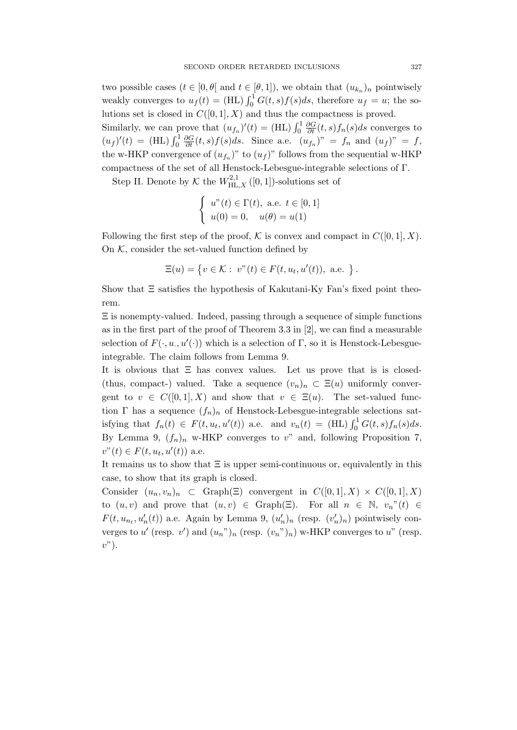two possible cases  $(t \in [0, \theta[$  and  $t \in [\theta, 1]),$  we obtain that  $(u_{k_n})_n$  pointwisely weakly converges to  $u_f(t) = (HL) \int_0^1 G(t, s) f(s) ds$ , therefore  $u_f = u$ ; the solutions set is closed in  $C([0, 1], X)$  and thus the compactness is proved.

Similarly, we can prove that  $(u_{f_n})'(t) = (HL) \int_0^1$  $\frac{\partial G}{\partial t}(t,s) f_n(s) ds$  converges to  $(u_f)'(t) = (HL) \int_0^1$  $\frac{\partial G}{\partial t}(t,s)f(s)ds$ . Since a.e.  $(u_{f_n})^{\prime\prime} = f_n$  and  $(u_f)^{\prime\prime} = f$ , the w-HKP convergence of  $(u_{f_n})^n$  to  $(u_f)^n$  follows from the sequential w-HKP compactness of the set of all Henstock-Lebesgue-integrable selections of Γ.

Step II. Denote by  $K$  the  $W^{2,1}_{\operatorname{HL},X}([0,1])$ -solutions set of

$$
\begin{cases}\n u''(t) \in \Gamma(t), \text{ a.e. } t \in [0, 1] \\
 u(0) = 0, \quad u(\theta) = u(1)\n\end{cases}
$$

Following the first step of the proof, K is convex and compact in  $C([0, 1], X)$ . On  $K$ , consider the set-valued function defined by

$$
\Xi(u) = \{ v \in \mathcal{K} : v^v(t) \in F(t, u_t, u'(t)), \text{ a.e. } \}.
$$

Show that  $\Xi$  satisfies the hypothesis of Kakutani-Ky Fan's fixed point theorem.

Ξ is nonempty-valued. Indeed, passing through a sequence of simple functions as in the first part of the proof of Theorem 3.3 in [2], we can find a measurable selection of  $F(\cdot, u, u'(\cdot))$  which is a selection of  $\Gamma$ , so it is Henstock-Lebesgueintegrable. The claim follows from Lemma 9.

It is obvious that  $\Xi$  has convex values. Let us prove that is is closed-(thus, compact-) valued. Take a sequence  $(v_n)_n \subset \Xi(u)$  uniformly convergent to  $v \in C([0,1], X)$  and show that  $v \in \Xi(u)$ . The set-valued function Γ has a sequence  $(f_n)_n$  of Henstock-Lebesgue-integrable selections satisfying that  $f_n(t) \in F(t, u_t, u'(t))$  a.e. and  $v_n(t) = (HL) \int_0^1 G(t, s) f_n(s) ds$ . By Lemma 9,  $(f_n)_n$  w-HKP converges to v" and, following Proposition 7,  $v''(t) \in F(t, u_t, u'(t))$  a.e.

It remains us to show that  $\Xi$  is upper semi-continuous or, equivalently in this case, to show that its graph is closed.

Consider  $(u_n, v_n)_n \subset \text{Graph}(\Xi)$  convergent in  $C([0, 1], X) \times C([0, 1], X)$ to  $(u, v)$  and prove that  $(u, v) \in Graph(\Xi)$ . For all  $n \in \mathbb{N}$ ,  $v_n''(t) \in$  $F(t, u_{n}, u'_n(t))$  a.e. Again by Lemma 9,  $(u'_n)_n$  (resp.  $(v'_n)_n$ ) pointwisely converges to u' (resp. v') and  $(u_n$ ")<sub>n</sub> (resp.  $(v_n$ ")<sub>n</sub>) w-HKP converges to u" (resp.  $v$ ").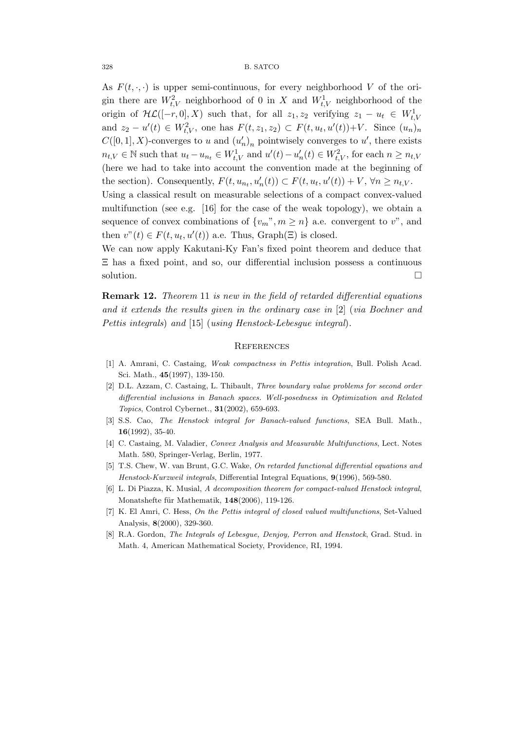As  $F(t, \cdot, \cdot)$  is upper semi-continuous, for every neighborhood V of the origin there are  $W_{t,V}^2$  neighborhood of 0 in X and  $W_{t,V}^1$  neighborhood of the origin of  $\mathcal{HL}([-r,0],X)$  such that, for all  $z_1, z_2$  verifying  $z_1 - u_t \in W^1_{t,V}$ and  $z_2 - u'(t) \in W_{t,V}^2$ , one has  $F(t, z_1, z_2) \subset F(t, u_t, u'(t)) + V$ . Since  $(u_n)_n$  $C([0, 1], X)$ -converges to u and  $(u'_n)_n$  pointwisely converges to u', there exists  $n_{t,V} \in \mathbb{N}$  such that  $u_t - u_{n_t} \in W_{t,V}^1$  and  $u'(t) - u'_n(t) \in W_{t,V}^2$ , for each  $n \geq n_{t,V}$ (here we had to take into account the convention made at the beginning of the section). Consequently,  $F(t, u_{n_t}, u'_n(t)) \subset F(t, u_t, u'(t)) + V$ ,  $\forall n \geq n_{t,v}$ . Using a classical result on measurable selections of a compact convex-valued

multifunction (see e.g.  $[16]$  for the case of the weak topology), we obtain a sequence of convex combinations of  $\{v_m", m \geq n\}$  a.e. convergent to v", and then  $v''(t) \in F(t, u_t, u'(t))$  a.e. Thus,  $Graph(\Xi)$  is closed.

We can now apply Kakutani-Ky Fan's fixed point theorem and deduce that Ξ has a fixed point, and so, our differential inclusion possess a continuous  $\Box$ solution.

Remark 12. Theorem 11 is new in the field of retarded differential equations and it extends the results given in the ordinary case in [2] (via Bochner and Pettis integrals) and [15] (using Henstock-Lebesgue integral).

### **REFERENCES**

- [1] A. Amrani, C. Castaing, Weak compactness in Pettis integration, Bull. Polish Acad. Sci. Math., 45(1997), 139-150.
- [2] D.L. Azzam, C. Castaing, L. Thibault, Three boundary value problems for second order differential inclusions in Banach spaces. Well-posedness in Optimization and Related Topics, Control Cybernet., 31(2002), 659-693.
- [3] S.S. Cao, The Henstock integral for Banach-valued functions, SEA Bull. Math., 16(1992), 35-40.
- [4] C. Castaing, M. Valadier, *Convex Analysis and Measurable Multifunctions*, Lect. Notes Math. 580, Springer-Verlag, Berlin, 1977.
- [5] T.S. Chew, W. van Brunt, G.C. Wake, On retarded functional differential equations and Henstock-Kurzweil integrals, Differential Integral Equations, 9(1996), 569-580.
- [6] L. Di Piazza, K. Musial, A decomposition theorem for compact-valued Henstock integral, Monatshefte für Mathematik,  $148(2006)$ , 119-126.
- [7] K. El Amri, C. Hess, On the Pettis integral of closed valued multifunctions, Set-Valued Analysis, 8(2000), 329-360.
- [8] R.A. Gordon, The Integrals of Lebesgue, Denjoy, Perron and Henstock, Grad. Stud. in Math. 4, American Mathematical Society, Providence, RI, 1994.